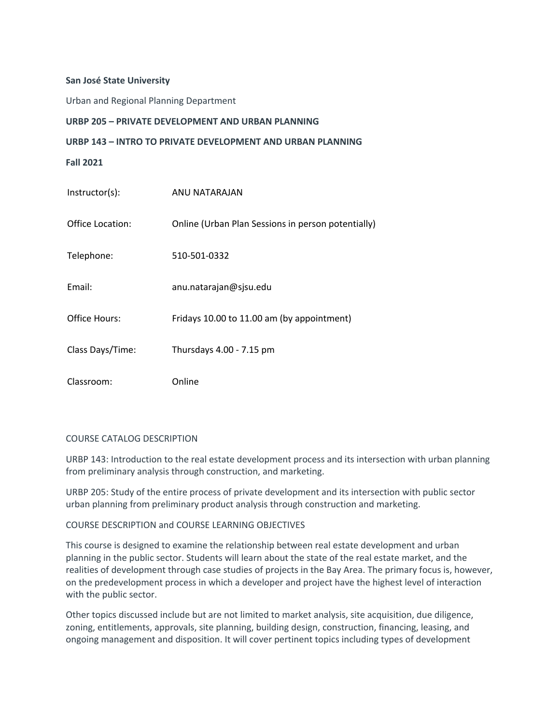## **San José State University**

Urban and Regional Planning Department

## **URBP 205 – PRIVATE DEVELOPMENT AND URBAN PLANNING**

## **URBP 143 – INTRO TO PRIVATE DEVELOPMENT AND URBAN PLANNING**

**Fall 2021** 

| Instructor(s):   | ANU NATARAJAN                                      |
|------------------|----------------------------------------------------|
| Office Location: | Online (Urban Plan Sessions in person potentially) |
| Telephone:       | 510-501-0332                                       |
| Email:           | anu.natarajan@sjsu.edu                             |
| Office Hours:    | Fridays 10.00 to 11.00 am (by appointment)         |
| Class Days/Time: | Thursdays 4.00 - 7.15 pm                           |
| Classroom:       | Online                                             |

#### COURSE CATALOG DESCRIPTION

 URBP 143: Introduction to the real estate development process and its intersection with urban planning from preliminary analysis through construction, and marketing.

 URBP 205: Study of the entire process of private development and its intersection with public sector urban planning from preliminary product analysis through construction and marketing.

## COURSE DESCRIPTION and COURSE LEARNING OBJECTIVES

 This course is designed to examine the relationship between real estate development and urban planning in the public sector. Students will learn about the state of the real estate market, and the realities of development through case studies of projects in the Bay Area. The primary focus is, however, on the predevelopment process in which a developer and project have the highest level of interaction with the public sector.

 Other topics discussed include but are not limited to market analysis, site acquisition, due diligence, zoning, entitlements, approvals, site planning, building design, construction, financing, leasing, and ongoing management and disposition. It will cover pertinent topics including types of development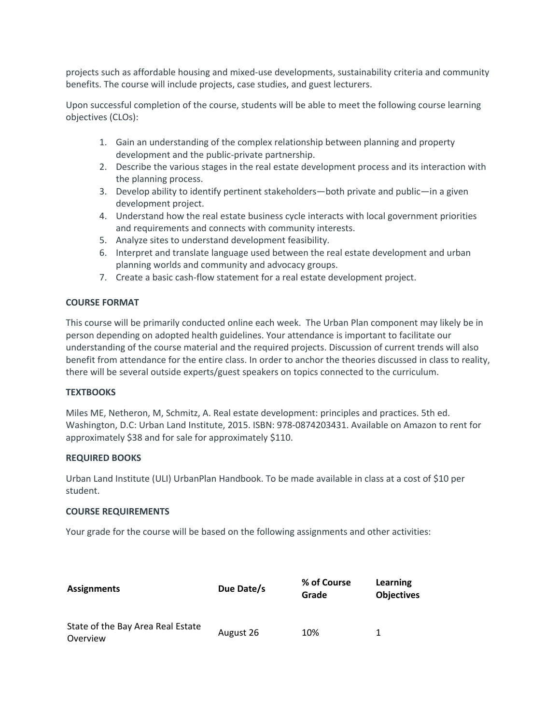projects such as affordable housing and mixed-use developments, sustainability criteria and community benefits. The course will include projects, case studies, and guest lecturers.

 Upon successful completion of the course, students will be able to meet the following course learning objectives (CLOs):

- 1. Gain an understanding of the complex relationship between planning and property development and the public-private partnership.
- 2. Describe the various stages in the real estate development process and its interaction with the planning process.
- 3. Develop ability to identify pertinent stakeholders—both private and public—in a given development project.
- 4. Understand how the real estate business cycle interacts with local government priorities and requirements and connects with community interests.
- 5. Analyze sites to understand development feasibility.
- 6. Interpret and translate language used between the real estate development and urban planning worlds and community and advocacy groups.
- 7. Create a basic cash-flow statement for a real estate development project.

# **COURSE FORMAT**

 This course will be primarily conducted online each week. The Urban Plan component may likely be in understanding of the course material and the required projects. Discussion of current trends will also benefit from attendance for the entire class. In order to anchor the theories discussed in class to reality, there will be several outside experts/guest speakers on topics connected to the curriculum. person depending on adopted health guidelines. Your attendance is important to facilitate our

# **TEXTBOOKS**

 Miles ME, Netheron, M, Schmitz, A. Real estate development: principles and practices. 5th ed. Washington, D.C: Urban Land Institute, 2015. ISBN: 978-0874203431. Available on Amazon to rent for approximately \$38 and for sale for approximately \$110.

# **REQUIRED BOOKS**

 Urban Land Institute (ULI) UrbanPlan Handbook. To be made available in class at a cost of \$10 per student.

# **COURSE REQUIREMENTS**

Your grade for the course will be based on the following assignments and other activities:

| <b>Assignments</b>                            | Due Date/s | % of Course<br>Grade | Learning<br><b>Objectives</b> |
|-----------------------------------------------|------------|----------------------|-------------------------------|
| State of the Bay Area Real Estate<br>Overview | August 26  | 10%                  | 1                             |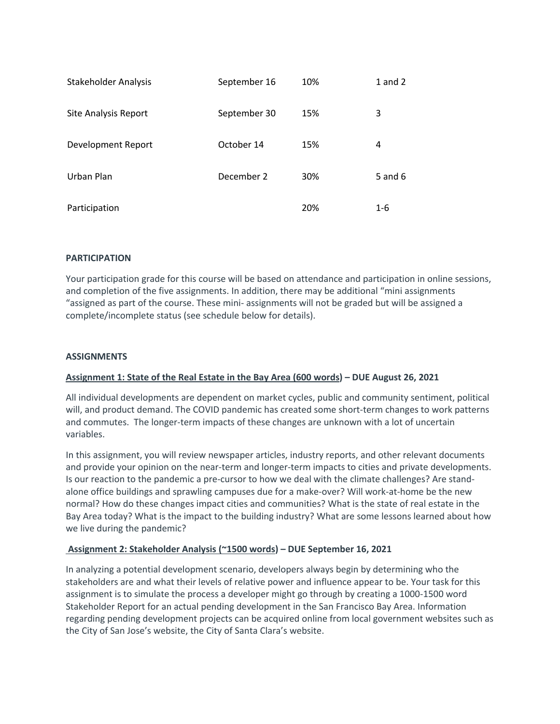| <b>Stakeholder Analysis</b> | September 16 | 10% | $1$ and $2$ |
|-----------------------------|--------------|-----|-------------|
| <b>Site Analysis Report</b> | September 30 | 15% | 3           |
| Development Report          | October 14   | 15% | 4           |
| Urban Plan                  | December 2   | 30% | 5 and $6$   |
| Participation               |              | 20% | 1-6         |

# **PARTICIPATION**

 Your participation grade for this course will be based on attendance and participation in online sessions, and completion of the five assignments. In addition, there may be additional "mini assignments "assigned as part of the course. These mini- assignments will not be graded but will be assigned a complete/incomplete status (see schedule below for details).

#### **ASSIGNMENTS**

# **Assignment 1: State of the Real Estate in the Bay Area (600 words) – DUE August 26, 2021**

 All individual developments are dependent on market cycles, public and community sentiment, political will, and product demand. The COVID pandemic has created some short-term changes to work patterns and commutes. The longer-term impacts of these changes are unknown with a lot of uncertain variables.

 Is our reaction to the pandemic a pre-cursor to how we deal with the climate challenges? Are stand- alone office buildings and sprawling campuses due for a make-over? Will work-at-home be the new normal? How do these changes impact cities and communities? What is the state of real estate in the Bay Area today? What is the impact to the building industry? What are some lessons learned about how we live during the pandemic? In this assignment, you will review newspaper articles, industry reports, and other relevant documents and provide your opinion on the near-term and longer-term impacts to cities and private developments.

# **Assignment 2: Stakeholder Analysis (~1500 words) – DUE September 16, 2021**

 In analyzing a potential development scenario, developers always begin by determining who the stakeholders are and what their levels of relative power and influence appear to be. Your task for this assignment is to simulate the process a developer might go through by creating a 1000-1500 word regarding pending development projects can be acquired online from local government websites such as the City of San Jose's website, the City of Santa Clara's website. Stakeholder Report for an actual pending development in the San Francisco Bay Area. Information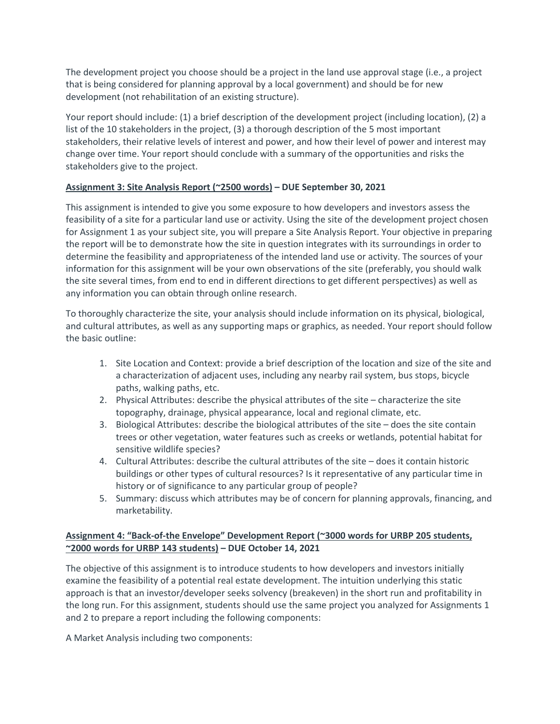The development project you choose should be a project in the land use approval stage (i.e., a project that is being considered for planning approval by a local government) and should be for new development (not rehabilitation of an existing structure).

 Your report should include: (1) a brief description of the development project (including location), (2) a stakeholders, their relative levels of interest and power, and how their level of power and interest may change over time. Your report should conclude with a summary of the opportunities and risks the stakeholders give to the project. list of the 10 stakeholders in the project, (3) a thorough description of the 5 most important

# **Assignment 3: Site Analysis Report (~2500 words) – DUE September 30, 2021**

 the report will be to demonstrate how the site in question integrates with its surroundings in order to determine the feasibility and appropriateness of the intended land use or activity. The sources of your information for this assignment will be your own observations of the site (preferably, you should walk the site several times, from end to end in different directions to get different perspectives) as well as This assignment is intended to give you some exposure to how developers and investors assess the feasibility of a site for a particular land use or activity. Using the site of the development project chosen for Assignment 1 as your subject site, you will prepare a Site Analysis Report. Your objective in preparing any information you can obtain through online research.

 To thoroughly characterize the site, your analysis should include information on its physical, biological, and cultural attributes, as well as any supporting maps or graphics, as needed. Your report should follow the basic outline:

- 1. Site Location and Context: provide a brief description of the location and size of the site and a characterization of adjacent uses, including any nearby rail system, bus stops, bicycle paths, walking paths, etc.
- 2. Physical Attributes: describe the physical attributes of the site characterize the site topography, drainage, physical appearance, local and regional climate, etc.
- 3. Biological Attributes: describe the biological attributes of the site does the site contain sensitive wildlife species? trees or other vegetation, water features such as creeks or wetlands, potential habitat for
- 4. Cultural Attributes: describe the cultural attributes of the site does it contain historic buildings or other types of cultural resources? Is it representative of any particular time in history or of significance to any particular group of people?
- 5. Summary: discuss which attributes may be of concern for planning approvals, financing, and marketability.

# **Assignment 4: "Back-of-the Envelope" Development Report (~3000 words for URBP 205 students, ~2000 words for URBP 143 students) – DUE October 14, 2021**

 The objective of this assignment is to introduce students to how developers and investors initially examine the feasibility of a potential real estate development. The intuition underlying this static approach is that an investor/developer seeks solvency (breakeven) in the short run and profitability in the long run. For this assignment, students should use the same project you analyzed for Assignments 1 and 2 to prepare a report including the following components:

A Market Analysis including two components: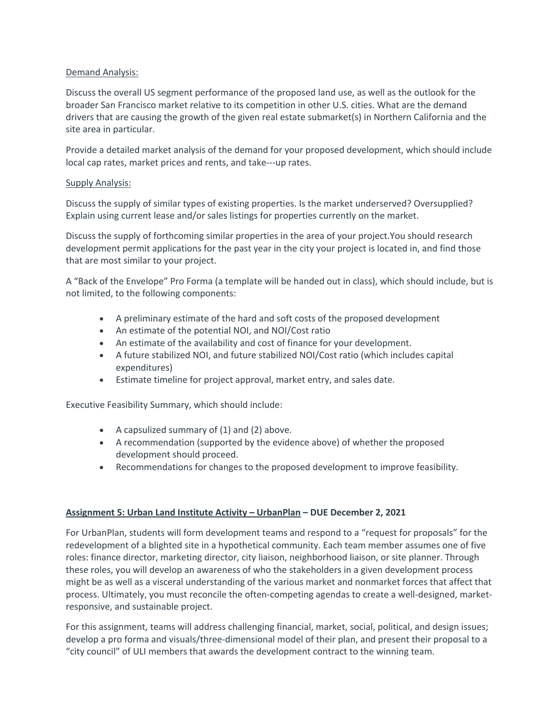# Demand Analysis:

 Discuss the overall US segment performance of the proposed land use, as well as the outlook for the broader San Francisco market relative to its competition in other U.S. cities. What are the demand drivers that are causing the growth of the given real estate submarket(s) in Northern California and the site area in particular.

 Provide a detailed market analysis of the demand for your proposed development, which should include local cap rates, market prices and rents, and take---up rates.<br>Supply Analysis:

 Discuss the supply of similar types of existing properties. Is the market underserved? Oversupplied? Explain using current lease and/or sales listings for properties currently on the market.

 Discuss the supply of forthcoming similar properties in the area of your project.You should research development permit applications for the past year in the city your project is located in, and find those that are most similar to your project.

 A "Back of the Envelope" Pro Forma (a template will be handed out in class), which should include, but is not limited, to the following components:

- A preliminary estimate of the hard and soft costs of the proposed development
- An estimate of the potential NOI, and NOI/Cost ratio
- An estimate of the availability and cost of finance for your development.
- • A future stabilized NOI, and future stabilized NOI/Cost ratio (which includes capital expenditures)
- Estimate timeline for project approval, market entry, and sales date.

Executive Feasibility Summary, which should include:

- A capsulized summary of (1) and (2) above.
- • A recommendation (supported by the evidence above) of whether the proposed development should proceed.
- Recommendations for changes to the proposed development to improve feasibility.

# **Assignment 5: Urban Land Institute Activity – UrbanPlan – DUE December 2, 2021**

 For UrbanPlan, students will form development teams and respond to a "request for proposals" for the redevelopment of a blighted site in a hypothetical community. Each team member assumes one of five roles: finance director, marketing director, city liaison, neighborhood liaison, or site planner. Through might be as well as a visceral understanding of the various market and nonmarket forces that affect that process. Ultimately, you must reconcile the often-competing agendas to create a well-designed, marketthese roles, you will develop an awareness of who the stakeholders in a given development process responsive, and sustainable project.

 develop a pro forma and visuals/three-dimensional model of their plan, and present their proposal to a For this assignment, teams will address challenging financial, market, social, political, and design issues; "city council" of ULI members that awards the development contract to the winning team.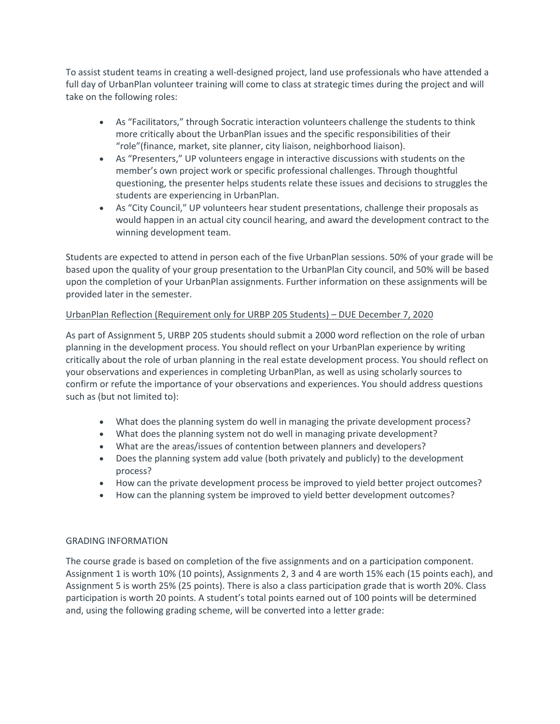To assist student teams in creating a well-designed project, land use professionals who have attended a take on the following roles: full day of UrbanPlan volunteer training will come to class at strategic times during the project and will

- • As "Facilitators," through Socratic interaction volunteers challenge the students to think more critically about the UrbanPlan issues and the specific responsibilities of their "role"(finance, market, site planner, city liaison, neighborhood liaison).
- • As "Presenters," UP volunteers engage in interactive discussions with students on the member's own project work or specific professional challenges. Through thoughtful questioning, the presenter helps students relate these issues and decisions to struggles the students are experiencing in UrbanPlan.
- • As "City Council," UP volunteers hear student presentations, challenge their proposals as would happen in an actual city council hearing, and award the development contract to the winning development team.

 Students are expected to attend in person each of the five UrbanPlan sessions. 50% of your grade will be based upon the quality of your group presentation to the UrbanPlan City council, and 50% will be based upon the completion of your UrbanPlan assignments. Further information on these assignments will be provided later in the semester.

# UrbanPlan Reflection (Requirement only for URBP 205 Students) – DUE December 7, 2020

 As part of Assignment 5, URBP 205 students should submit a 2000 word reflection on the role of urban planning in the development process. You should reflect on your UrbanPlan experience by writing critically about the role of urban planning in the real estate development process. You should reflect on your observations and experiences in completing UrbanPlan, as well as using scholarly sources to confirm or refute the importance of your observations and experiences. You should address questions such as (but not limited to):

- What does the planning system do well in managing the private development process?
- What does the planning system not do well in managing private development?
- What are the areas/issues of contention between planners and developers?
- • Does the planning system add value (both privately and publicly) to the development process?
- How can the private development process be improved to yield better project outcomes?
- How can the planning system be improved to yield better development outcomes?

# GRADING INFORMATION

 The course grade is based on completion of the five assignments and on a participation component. Assignment 1 is worth 10% (10 points), Assignments 2, 3 and 4 are worth 15% each (15 points each), and Assignment 5 is worth 25% (25 points). There is also a class participation grade that is worth 20%. Class participation is worth 20 points. A student's total points earned out of 100 points will be determined and, using the following grading scheme, will be converted into a letter grade: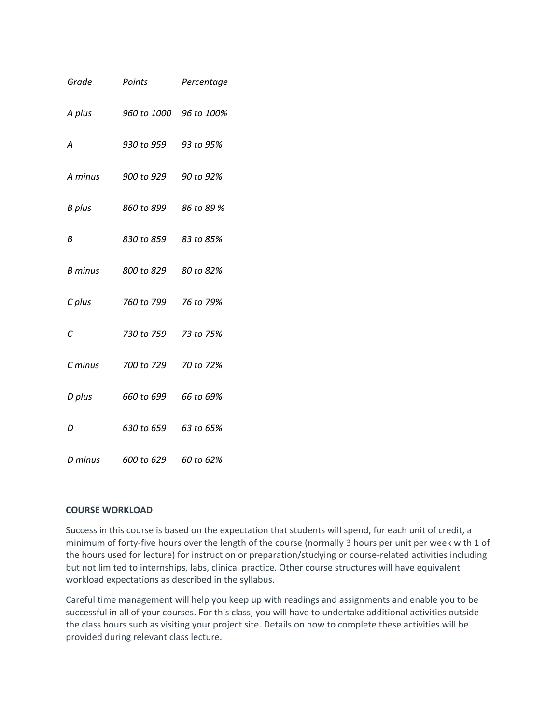| Grade   | Points                 | Percentage |
|---------|------------------------|------------|
| A plus  | 960 to 1000 96 to 100% |            |
| А       | 930 to 959 93 to 95%   |            |
| A minus | 900 to 929 90 to 92%   |            |
| B plus  | 860 to 899 86 to 89 %  |            |
| В       | 830 to 859 83 to 85%   |            |
| B minus | 800 to 829 80 to 82%   |            |
| C plus  | 760 to 799 76 to 79%   |            |
| С       | 730 to 759             | 73 to 75%  |
| C minus | 700 to 729             | 70 to 72%  |
| D plus  | 660 to 699             | 66 to 69%  |
| D       | 630 to 659             | 63 to 65%  |
| D minus | 600 to 629             | 60 to 62%  |

## **COURSE WORKLOAD**

 but not limited to internships, labs, clinical practice. Other course structures will have equivalent workload expectations as described in the syllabus. Success in this course is based on the expectation that students will spend, for each unit of credit, a minimum of forty-five hours over the length of the course (normally 3 hours per unit per week with 1 of the hours used for lecture) for instruction or preparation/studying or course-related activities including

 Careful time management will help you keep up with readings and assignments and enable you to be successful in all of your courses. For this class, you will have to undertake additional activities outside the class hours such as visiting your project site. Details on how to complete these activities will be provided during relevant class lecture.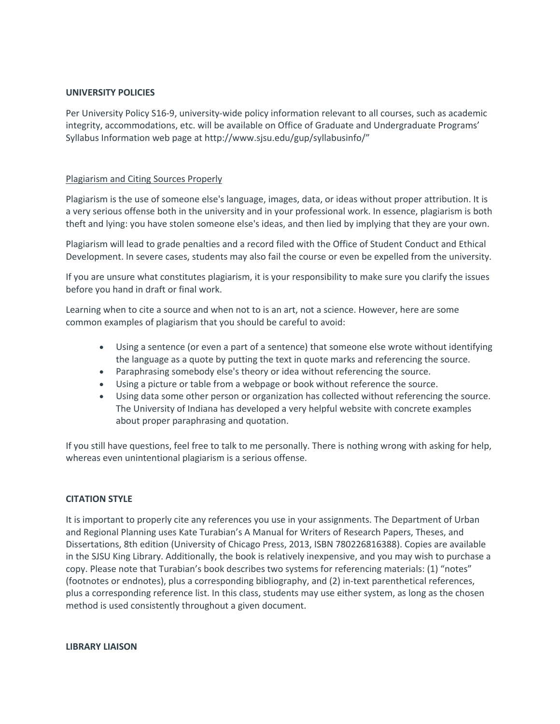## **UNIVERSITY POLICIES**

 Per University Policy S16-9, university-wide policy information relevant to all courses, such as academic integrity, accommodations, etc. will be available on Office of Graduate and Undergraduate Programs' Syllabus Information web page at [http://www.sjsu.edu/gup/syllabusinfo/](http://www.sjsu.edu/gup/syllabusinfo)"

# **Plagiarism and Citing Sources Properly**

 Plagiarism is the use of someone else's language, images, data, or ideas without proper attribution. It is a very serious offense both in the university and in your professional work. In essence, plagiarism is both theft and lying: you have stolen someone else's ideas, and then lied by implying that they are your own.

 Plagiarism will lead to grade penalties and a record filed with the Office of Student Conduct and Ethical Development. In severe cases, students may also fail the course or even be expelled from the university.

If you are unsure what constitutes plagiarism, it is your responsibility to make sure you clarify the issues before you hand in draft or final work.

 Learning when to cite a source and when not to is an art, not a science. However, here are some common examples of plagiarism that you should be careful to avoid:

- • Using a sentence (or even a part of a sentence) that someone else wrote without identifying the language as a quote by putting the text in quote marks and referencing the source.
- Paraphrasing somebody else's theory or idea without referencing the source.
- Using a picture or table from a webpage or book without reference the source.
- • Using data some other person or organization has collected without referencing the source. The University of Indiana has developed a very helpful website with concrete examples about proper paraphrasing and quotation.

 whereas even unintentional plagiarism is a serious offense. If you still have questions, feel free to talk to me personally. There is nothing wrong with asking for help,

# **CITATION STYLE**

 and Regional Planning uses Kate Turabian's A Manual for Writers of Research Papers, Theses, and Dissertations, 8th edition (University of Chicago Press, 2013, ISBN 780226816388). Copies are available copy. Please note that Turabian's book describes two systems for referencing materials: (1) "notes" plus a corresponding reference list. In this class, students may use either system, as long as the chosen It is important to properly cite any references you use in your assignments. The Department of Urban in the SJSU King Library. Additionally, the book is relatively inexpensive, and you may wish to purchase a (footnotes or endnotes), plus a corresponding bibliography, and (2) in-text parenthetical references, method is used consistently throughout a given document.

**LIBRARY LIAISON**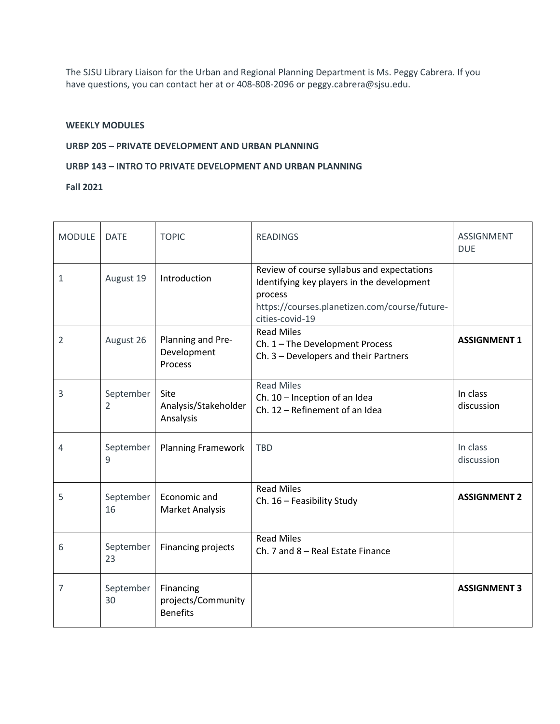The SJSU Library Liaison for the Urban and Regional Planning Department is Ms. Peggy Cabrera. If you have questions, you can contact her at or 408-808-2096 or [peggy.cabrera@sjsu.edu](mailto:peggy.cabrera@sjsu.edu).

## **WEEKLY MODULES**

## **URBP 205 – PRIVATE DEVELOPMENT AND URBAN PLANNING**

## **URBP 143 – INTRO TO PRIVATE DEVELOPMENT AND URBAN PLANNING**

**Fall 2021** 

| <b>MODULE</b>  | <b>DATE</b>                 | <b>TOPIC</b>                                       | <b>READINGS</b>                                                                                                                                                         | <b>ASSIGNMENT</b><br><b>DUE</b> |
|----------------|-----------------------------|----------------------------------------------------|-------------------------------------------------------------------------------------------------------------------------------------------------------------------------|---------------------------------|
| 1              | August 19                   | Introduction                                       | Review of course syllabus and expectations<br>Identifying key players in the development<br>process<br>https://courses.planetizen.com/course/future-<br>cities-covid-19 |                                 |
| $\overline{2}$ | August 26                   | Planning and Pre-<br>Development<br>Process        | <b>Read Miles</b><br>Ch. 1 - The Development Process<br>Ch. 3 - Developers and their Partners                                                                           | <b>ASSIGNMENT 1</b>             |
| 3              | September<br>$\overline{2}$ | Site<br>Analysis/Stakeholder<br>Ansalysis          | <b>Read Miles</b><br>Ch. 10 - Inception of an Idea<br>Ch. 12 - Refinement of an Idea                                                                                    | In class<br>discussion          |
| 4              | September<br>9              | <b>Planning Framework</b>                          | <b>TBD</b>                                                                                                                                                              | In class<br>discussion          |
| 5              | September<br>16             | Economic and<br><b>Market Analysis</b>             | <b>Read Miles</b><br>Ch. 16 - Feasibility Study                                                                                                                         | <b>ASSIGNMENT 2</b>             |
| 6              | September<br>23             | Financing projects                                 | <b>Read Miles</b><br>Ch. 7 and 8 - Real Estate Finance                                                                                                                  |                                 |
| 7              | September<br>30             | Financing<br>projects/Community<br><b>Benefits</b> |                                                                                                                                                                         | <b>ASSIGNMENT 3</b>             |